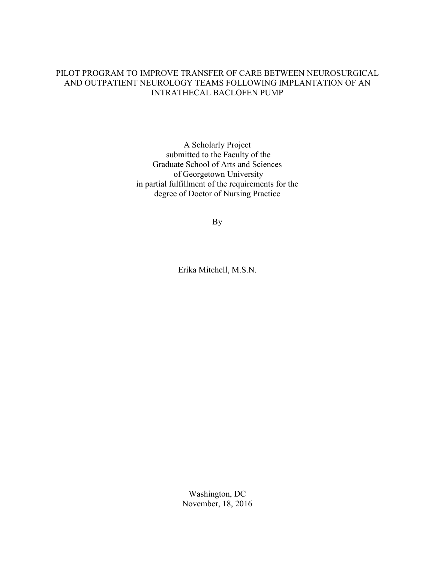# PILOT PROGRAM TO IMPROVE TRANSFER OF CARE BETWEEN NEUROSURGICAL AND OUTPATIENT NEUROLOGY TEAMS FOLLOWING IMPLANTATION OF AN INTRATHECAL BACLOFEN PUMP

A Scholarly Project submitted to the Faculty of the Graduate School of Arts and Sciences of Georgetown University in partial fulfillment of the requirements for the degree of Doctor of Nursing Practice

By

Erika Mitchell, M.S.N.

Washington, DC November, 18, 2016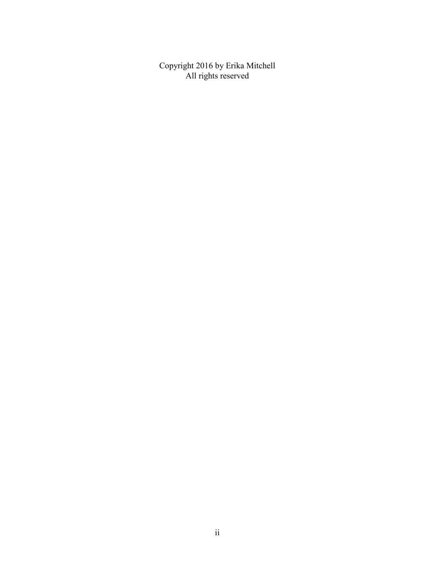Copyright 2016 by Erika Mitchell All rights reserved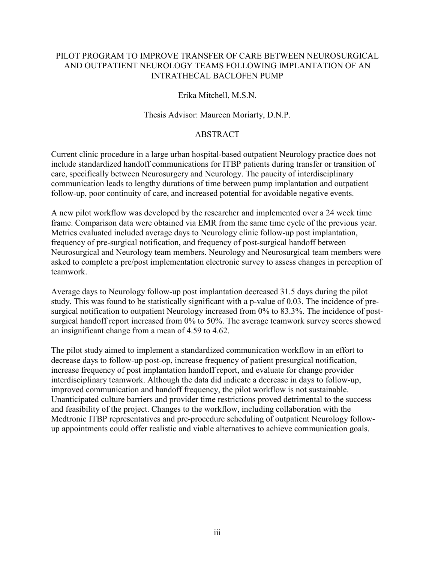# PILOT PROGRAM TO IMPROVE TRANSFER OF CARE BETWEEN NEUROSURGICAL AND OUTPATIENT NEUROLOGY TEAMS FOLLOWING IMPLANTATION OF AN INTRATHECAL BACLOFEN PUMP

# Erika Mitchell, M.S.N.

# Thesis Advisor: Maureen Moriarty, D.N.P.

# ABSTRACT

Current clinic procedure in a large urban hospital-based outpatient Neurology practice does not include standardized handoff communications for ITBP patients during transfer or transition of care, specifically between Neurosurgery and Neurology. The paucity of interdisciplinary communication leads to lengthy durations of time between pump implantation and outpatient follow-up, poor continuity of care, and increased potential for avoidable negative events.

A new pilot workflow was developed by the researcher and implemented over a 24 week time frame. Comparison data were obtained via EMR from the same time cycle of the previous year. Metrics evaluated included average days to Neurology clinic follow-up post implantation, frequency of pre-surgical notification, and frequency of post-surgical handoff between Neurosurgical and Neurology team members. Neurology and Neurosurgical team members were asked to complete a pre/post implementation electronic survey to assess changes in perception of teamwork.

Average days to Neurology follow-up post implantation decreased 31.5 days during the pilot study. This was found to be statistically significant with a p-value of 0.03. The incidence of presurgical notification to outpatient Neurology increased from 0% to 83.3%. The incidence of postsurgical handoff report increased from 0% to 50%. The average teamwork survey scores showed an insignificant change from a mean of 4.59 to 4.62.

The pilot study aimed to implement a standardized communication workflow in an effort to decrease days to follow-up post-op, increase frequency of patient presurgical notification, increase frequency of post implantation handoff report, and evaluate for change provider interdisciplinary teamwork. Although the data did indicate a decrease in days to follow-up, improved communication and handoff frequency, the pilot workflow is not sustainable. Unanticipated culture barriers and provider time restrictions proved detrimental to the success and feasibility of the project. Changes to the workflow, including collaboration with the Medtronic ITBP representatives and pre-procedure scheduling of outpatient Neurology followup appointments could offer realistic and viable alternatives to achieve communication goals.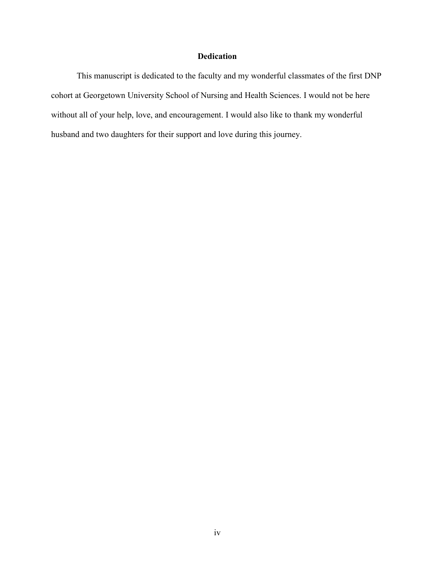# **Dedication**

 This manuscript is dedicated to the faculty and my wonderful classmates of the first DNP cohort at Georgetown University School of Nursing and Health Sciences. I would not be here without all of your help, love, and encouragement. I would also like to thank my wonderful husband and two daughters for their support and love during this journey.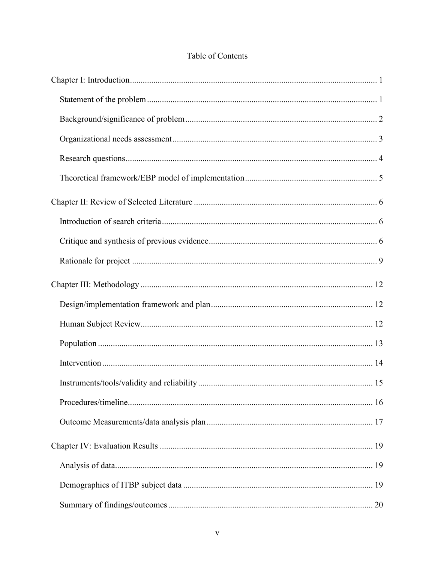# Table of Contents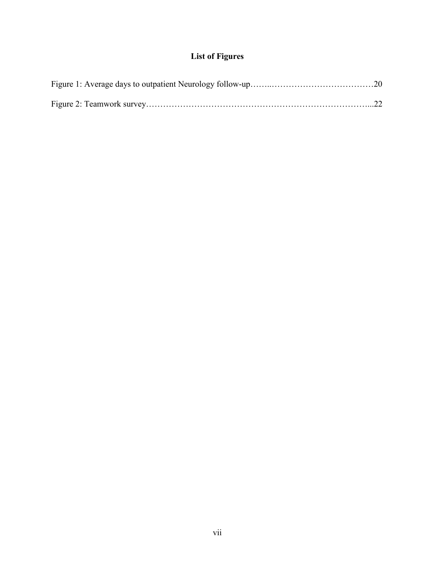# **List of Figures**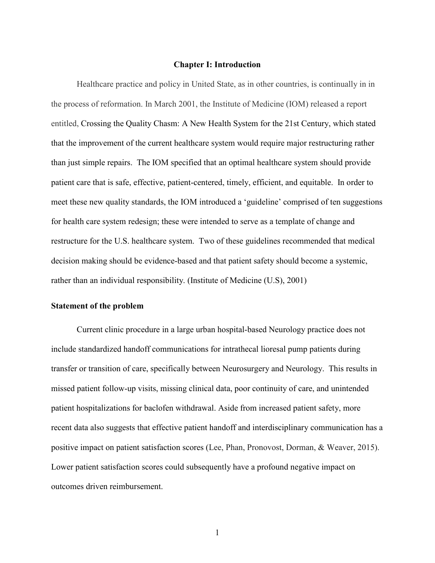#### **Chapter I: Introduction**

Healthcare practice and policy in United State, as in other countries, is continually in in the process of reformation. In March 2001, the Institute of Medicine (IOM) released a report entitled, Crossing the Quality Chasm: A New Health System for the 21st Century, which stated that the improvement of the current healthcare system would require major restructuring rather than just simple repairs. The IOM specified that an optimal healthcare system should provide patient care that is safe, effective, patient-centered, timely, efficient, and equitable. In order to meet these new quality standards, the IOM introduced a 'guideline' comprised of ten suggestions for health care system redesign; these were intended to serve as a template of change and restructure for the U.S. healthcare system. Two of these guidelines recommended that medical decision making should be evidence-based and that patient safety should become a systemic, rather than an individual responsibility. (Institute of Medicine (U.S), 2001)

#### **Statement of the problem**

Current clinic procedure in a large urban hospital-based Neurology practice does not include standardized handoff communications for intrathecal lioresal pump patients during transfer or transition of care, specifically between Neurosurgery and Neurology. This results in missed patient follow-up visits, missing clinical data, poor continuity of care, and unintended patient hospitalizations for baclofen withdrawal. Aside from increased patient safety, more recent data also suggests that effective patient handoff and interdisciplinary communication has a positive impact on patient satisfaction scores (Lee, Phan, Pronovost, Dorman, & Weaver, 2015). Lower patient satisfaction scores could subsequently have a profound negative impact on outcomes driven reimbursement.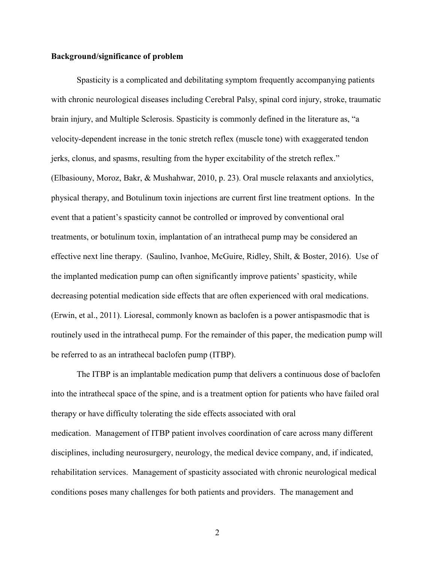# **Background/significance of problem**

Spasticity is a complicated and debilitating symptom frequently accompanying patients with chronic neurological diseases including Cerebral Palsy, spinal cord injury, stroke, traumatic brain injury, and Multiple Sclerosis. Spasticity is commonly defined in the literature as, "a velocity-dependent increase in the tonic stretch reflex (muscle tone) with exaggerated tendon jerks, clonus, and spasms, resulting from the hyper excitability of the stretch reflex." (Elbasiouny, Moroz, Bakr, & Mushahwar, 2010, p. 23). Oral muscle relaxants and anxiolytics, physical therapy, and Botulinum toxin injections are current first line treatment options. In the event that a patient's spasticity cannot be controlled or improved by conventional oral treatments, or botulinum toxin, implantation of an intrathecal pump may be considered an effective next line therapy. (Saulino, Ivanhoe, McGuire, Ridley, Shilt, & Boster, 2016). Use of the implanted medication pump can often significantly improve patients' spasticity, while decreasing potential medication side effects that are often experienced with oral medications. (Erwin, et al., 2011). Lioresal, commonly known as baclofen is a power antispasmodic that is routinely used in the intrathecal pump. For the remainder of this paper, the medication pump will be referred to as an intrathecal baclofen pump (ITBP).

The ITBP is an implantable medication pump that delivers a continuous dose of baclofen into the intrathecal space of the spine, and is a treatment option for patients who have failed oral therapy or have difficulty tolerating the side effects associated with oral medication. Management of ITBP patient involves coordination of care across many different disciplines, including neurosurgery, neurology, the medical device company, and, if indicated, rehabilitation services. Management of spasticity associated with chronic neurological medical conditions poses many challenges for both patients and providers. The management and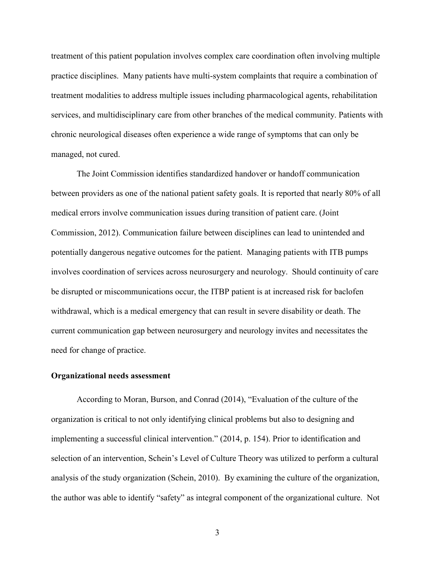treatment of this patient population involves complex care coordination often involving multiple practice disciplines. Many patients have multi-system complaints that require a combination of treatment modalities to address multiple issues including pharmacological agents, rehabilitation services, and multidisciplinary care from other branches of the medical community. Patients with chronic neurological diseases often experience a wide range of symptoms that can only be managed, not cured.

The Joint Commission identifies standardized handover or handoff communication between providers as one of the national patient safety goals. It is reported that nearly 80% of all medical errors involve communication issues during transition of patient care. (Joint Commission, 2012). Communication failure between disciplines can lead to unintended and potentially dangerous negative outcomes for the patient. Managing patients with ITB pumps involves coordination of services across neurosurgery and neurology. Should continuity of care be disrupted or miscommunications occur, the ITBP patient is at increased risk for baclofen withdrawal, which is a medical emergency that can result in severe disability or death. The current communication gap between neurosurgery and neurology invites and necessitates the need for change of practice.

# **Organizational needs assessment**

According to Moran, Burson, and Conrad (2014), "Evaluation of the culture of the organization is critical to not only identifying clinical problems but also to designing and implementing a successful clinical intervention." (2014, p. 154). Prior to identification and selection of an intervention, Schein's Level of Culture Theory was utilized to perform a cultural analysis of the study organization (Schein, 2010). By examining the culture of the organization, the author was able to identify "safety" as integral component of the organizational culture. Not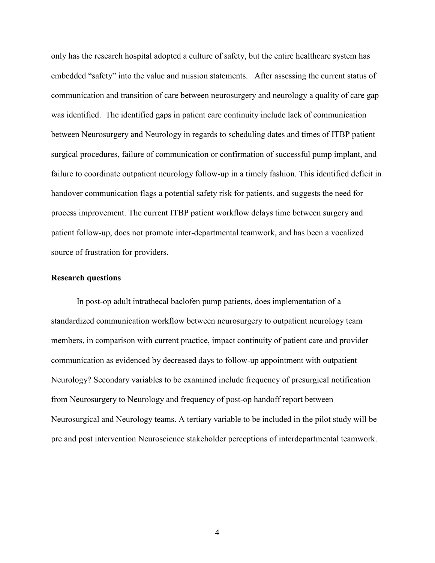only has the research hospital adopted a culture of safety, but the entire healthcare system has embedded "safety" into the value and mission statements. After assessing the current status of communication and transition of care between neurosurgery and neurology a quality of care gap was identified. The identified gaps in patient care continuity include lack of communication between Neurosurgery and Neurology in regards to scheduling dates and times of ITBP patient surgical procedures, failure of communication or confirmation of successful pump implant, and failure to coordinate outpatient neurology follow-up in a timely fashion. This identified deficit in handover communication flags a potential safety risk for patients, and suggests the need for process improvement. The current ITBP patient workflow delays time between surgery and patient follow-up, does not promote inter-departmental teamwork, and has been a vocalized source of frustration for providers.

## **Research questions**

In post-op adult intrathecal baclofen pump patients, does implementation of a standardized communication workflow between neurosurgery to outpatient neurology team members, in comparison with current practice, impact continuity of patient care and provider communication as evidenced by decreased days to follow-up appointment with outpatient Neurology? Secondary variables to be examined include frequency of presurgical notification from Neurosurgery to Neurology and frequency of post-op handoff report between Neurosurgical and Neurology teams. A tertiary variable to be included in the pilot study will be pre and post intervention Neuroscience stakeholder perceptions of interdepartmental teamwork.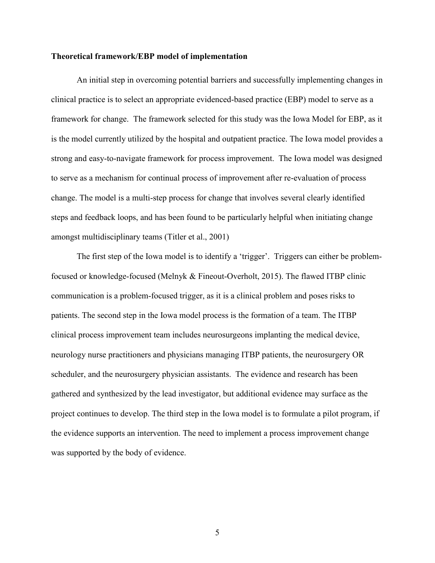## **Theoretical framework/EBP model of implementation**

An initial step in overcoming potential barriers and successfully implementing changes in clinical practice is to select an appropriate evidenced-based practice (EBP) model to serve as a framework for change. The framework selected for this study was the Iowa Model for EBP, as it is the model currently utilized by the hospital and outpatient practice. The Iowa model provides a strong and easy-to-navigate framework for process improvement. The Iowa model was designed to serve as a mechanism for continual process of improvement after re-evaluation of process change. The model is a multi-step process for change that involves several clearly identified steps and feedback loops, and has been found to be particularly helpful when initiating change amongst multidisciplinary teams (Titler et al., 2001)

The first step of the Iowa model is to identify a 'trigger'. Triggers can either be problemfocused or knowledge-focused (Melnyk & Fineout-Overholt, 2015). The flawed ITBP clinic communication is a problem-focused trigger, as it is a clinical problem and poses risks to patients. The second step in the Iowa model process is the formation of a team. The ITBP clinical process improvement team includes neurosurgeons implanting the medical device, neurology nurse practitioners and physicians managing ITBP patients, the neurosurgery OR scheduler, and the neurosurgery physician assistants. The evidence and research has been gathered and synthesized by the lead investigator, but additional evidence may surface as the project continues to develop. The third step in the Iowa model is to formulate a pilot program, if the evidence supports an intervention. The need to implement a process improvement change was supported by the body of evidence.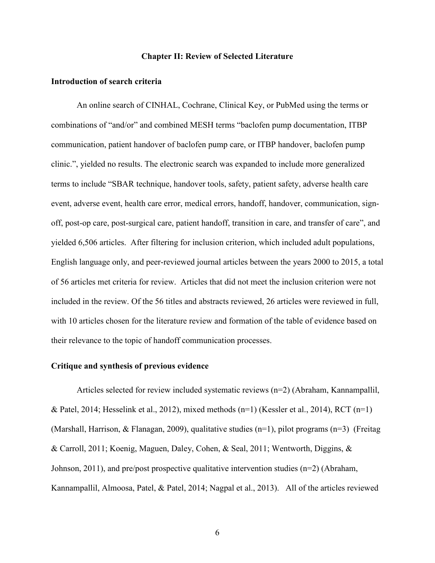## **Chapter II: Review of Selected Literature**

#### **Introduction of search criteria**

An online search of CINHAL, Cochrane, Clinical Key, or PubMed using the terms or combinations of "and/or" and combined MESH terms "baclofen pump documentation, ITBP communication, patient handover of baclofen pump care, or ITBP handover, baclofen pump clinic.", yielded no results. The electronic search was expanded to include more generalized terms to include "SBAR technique, handover tools, safety, patient safety, adverse health care event, adverse event, health care error, medical errors, handoff, handover, communication, signoff, post-op care, post-surgical care, patient handoff, transition in care, and transfer of care", and yielded 6,506 articles. After filtering for inclusion criterion, which included adult populations, English language only, and peer-reviewed journal articles between the years 2000 to 2015, a total of 56 articles met criteria for review. Articles that did not meet the inclusion criterion were not included in the review. Of the 56 titles and abstracts reviewed, 26 articles were reviewed in full, with 10 articles chosen for the literature review and formation of the table of evidence based on their relevance to the topic of handoff communication processes.

## **Critique and synthesis of previous evidence**

Articles selected for review included systematic reviews (n=2) (Abraham, Kannampallil, & Patel, 2014; Hesselink et al., 2012), mixed methods  $(n=1)$  (Kessler et al., 2014), RCT  $(n=1)$ (Marshall, Harrison, & Flanagan, 2009), qualitative studies (n=1), pilot programs (n=3) (Freitag & Carroll, 2011; Koenig, Maguen, Daley, Cohen, & Seal, 2011; Wentworth, Diggins, & Johnson, 2011), and pre/post prospective qualitative intervention studies (n=2) (Abraham, Kannampallil, Almoosa, Patel, & Patel, 2014; Nagpal et al., 2013). All of the articles reviewed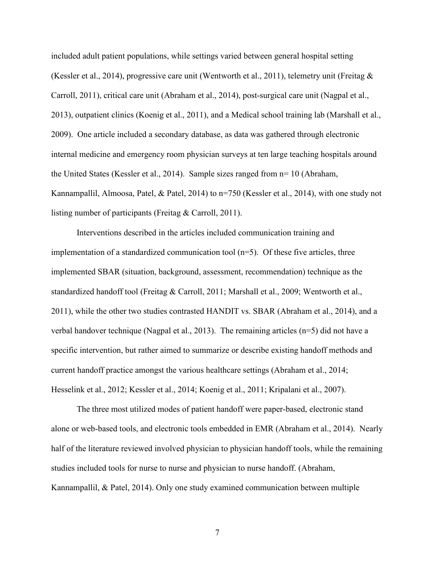included adult patient populations, while settings varied between general hospital setting (Kessler et al., 2014), progressive care unit (Wentworth et al., 2011), telemetry unit (Freitag & Carroll, 2011), critical care unit (Abraham et al., 2014), post-surgical care unit (Nagpal et al., 2013), outpatient clinics (Koenig et al., 2011), and a Medical school training lab (Marshall et al., 2009). One article included a secondary database, as data was gathered through electronic internal medicine and emergency room physician surveys at ten large teaching hospitals around the United States (Kessler et al., 2014). Sample sizes ranged from n= 10 (Abraham, Kannampallil, Almoosa, Patel, & Patel, 2014) to n=750 (Kessler et al., 2014), with one study not listing number of participants (Freitag & Carroll, 2011).

Interventions described in the articles included communication training and implementation of a standardized communication tool  $(n=5)$ . Of these five articles, three implemented SBAR (situation, background, assessment, recommendation) technique as the standardized handoff tool (Freitag & Carroll, 2011; Marshall et al., 2009; Wentworth et al., 2011), while the other two studies contrasted HANDIT vs. SBAR (Abraham et al., 2014), and a verbal handover technique (Nagpal et al., 2013). The remaining articles (n=5) did not have a specific intervention, but rather aimed to summarize or describe existing handoff methods and current handoff practice amongst the various healthcare settings (Abraham et al., 2014; Hesselink et al., 2012; Kessler et al., 2014; Koenig et al., 2011; Kripalani et al., 2007).

The three most utilized modes of patient handoff were paper-based, electronic stand alone or web-based tools, and electronic tools embedded in EMR (Abraham et al., 2014). Nearly half of the literature reviewed involved physician to physician handoff tools, while the remaining studies included tools for nurse to nurse and physician to nurse handoff. (Abraham, Kannampallil, & Patel, 2014). Only one study examined communication between multiple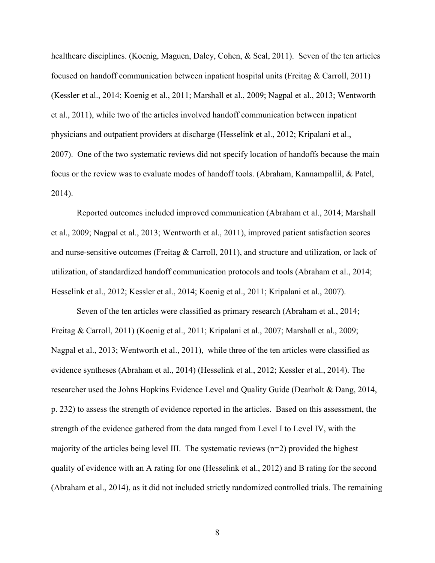healthcare disciplines. (Koenig, Maguen, Daley, Cohen, & Seal, 2011). Seven of the ten articles focused on handoff communication between inpatient hospital units (Freitag & Carroll, 2011) (Kessler et al., 2014; Koenig et al., 2011; Marshall et al., 2009; Nagpal et al., 2013; Wentworth et al., 2011), while two of the articles involved handoff communication between inpatient physicians and outpatient providers at discharge (Hesselink et al., 2012; Kripalani et al., 2007). One of the two systematic reviews did not specify location of handoffs because the main focus or the review was to evaluate modes of handoff tools. (Abraham, Kannampallil, & Patel, 2014).

Reported outcomes included improved communication (Abraham et al., 2014; Marshall et al., 2009; Nagpal et al., 2013; Wentworth et al., 2011), improved patient satisfaction scores and nurse-sensitive outcomes (Freitag & Carroll, 2011), and structure and utilization, or lack of utilization, of standardized handoff communication protocols and tools (Abraham et al., 2014; Hesselink et al., 2012; Kessler et al., 2014; Koenig et al., 2011; Kripalani et al., 2007).

Seven of the ten articles were classified as primary research (Abraham et al., 2014; Freitag & Carroll, 2011) (Koenig et al., 2011; Kripalani et al., 2007; Marshall et al., 2009; Nagpal et al., 2013; Wentworth et al., 2011), while three of the ten articles were classified as evidence syntheses (Abraham et al., 2014) (Hesselink et al., 2012; Kessler et al., 2014). The researcher used the Johns Hopkins Evidence Level and Quality Guide (Dearholt & Dang, 2014, p. 232) to assess the strength of evidence reported in the articles. Based on this assessment, the strength of the evidence gathered from the data ranged from Level I to Level IV, with the majority of the articles being level III. The systematic reviews (n=2) provided the highest quality of evidence with an A rating for one (Hesselink et al., 2012) and B rating for the second (Abraham et al., 2014), as it did not included strictly randomized controlled trials. The remaining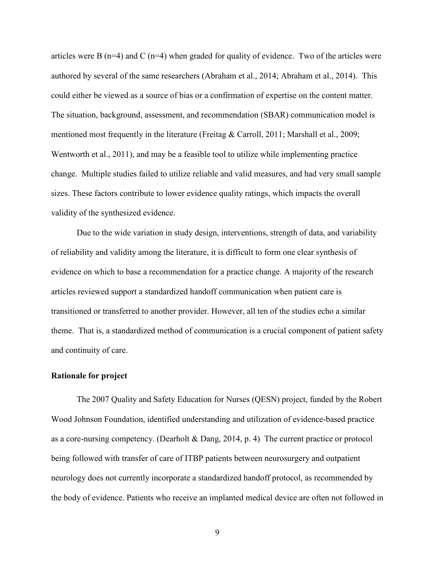articles were B  $(n=4)$  and C  $(n=4)$  when graded for quality of evidence. Two of the articles were authored by several of the same researchers (Abraham et al., 2014; Abraham et al., 2014). This could either be viewed as a source of bias or a confirmation of expertise on the content matter. The situation, background, assessment, and recommendation (SBAR) communication model is mentioned most frequently in the literature (Freitag & Carroll, 2011; Marshall et al., 2009; Wentworth et al., 2011), and may be a feasible tool to utilize while implementing practice change. Multiple studies failed to utilize reliable and valid measures, and had very small sample sizes. These factors contribute to lower evidence quality ratings, which impacts the overall validity of the synthesized evidence.

Due to the wide variation in study design, interventions, strength of data, and variability of reliability and validity among the literature, it is difficult to form one clear synthesis of evidence on which to base a recommendation for a practice change. A majority of the research articles reviewed support a standardized handoff communication when patient care is transitioned or transferred to another provider. However, all ten of the studies echo a similar theme. That is, a standardized method of communication is a crucial component of patient safety and continuity of care.

# **Rationale for project**

The 2007 Quality and Safety Education for Nurses (QESN) project, funded by the Robert Wood Johnson Foundation, identified understanding and utilization of evidence-based practice as a core-nursing competency. (Dearholt & Dang, 2014, p. 4) The current practice or protocol being followed with transfer of care of ITBP patients between neurosurgery and outpatient neurology does not currently incorporate a standardized handoff protocol, as recommended by the body of evidence. Patients who receive an implanted medical device are often not followed in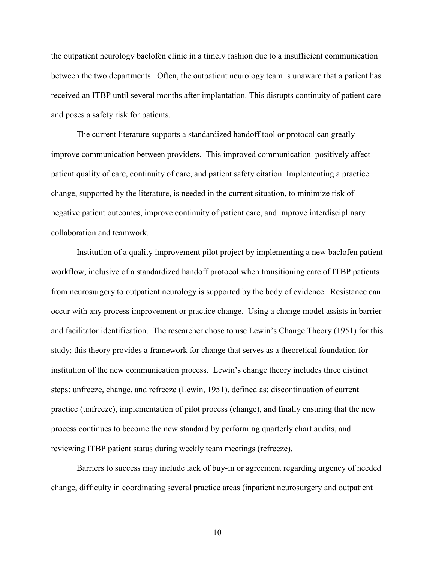the outpatient neurology baclofen clinic in a timely fashion due to a insufficient communication between the two departments. Often, the outpatient neurology team is unaware that a patient has received an ITBP until several months after implantation. This disrupts continuity of patient care and poses a safety risk for patients.

The current literature supports a standardized handoff tool or protocol can greatly improve communication between providers. This improved communication positively affect patient quality of care, continuity of care, and patient safety citation. Implementing a practice change, supported by the literature, is needed in the current situation, to minimize risk of negative patient outcomes, improve continuity of patient care, and improve interdisciplinary collaboration and teamwork.

Institution of a quality improvement pilot project by implementing a new baclofen patient workflow, inclusive of a standardized handoff protocol when transitioning care of ITBP patients from neurosurgery to outpatient neurology is supported by the body of evidence. Resistance can occur with any process improvement or practice change. Using a change model assists in barrier and facilitator identification. The researcher chose to use Lewin's Change Theory (1951) for this study; this theory provides a framework for change that serves as a theoretical foundation for institution of the new communication process. Lewin's change theory includes three distinct steps: unfreeze, change, and refreeze (Lewin, 1951), defined as: discontinuation of current practice (unfreeze), implementation of pilot process (change), and finally ensuring that the new process continues to become the new standard by performing quarterly chart audits, and reviewing ITBP patient status during weekly team meetings (refreeze).

Barriers to success may include lack of buy-in or agreement regarding urgency of needed change, difficulty in coordinating several practice areas (inpatient neurosurgery and outpatient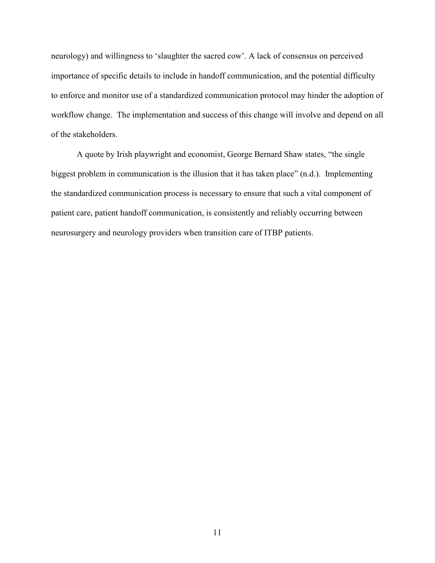neurology) and willingness to 'slaughter the sacred cow'. A lack of consensus on perceived importance of specific details to include in handoff communication, and the potential difficulty to enforce and monitor use of a standardized communication protocol may hinder the adoption of workflow change. The implementation and success of this change will involve and depend on all of the stakeholders.

A quote by Irish playwright and economist, George Bernard Shaw states, "the single biggest problem in communication is the illusion that it has taken place" (n.d.). Implementing the standardized communication process is necessary to ensure that such a vital component of patient care, patient handoff communication, is consistently and reliably occurring between neurosurgery and neurology providers when transition care of ITBP patients.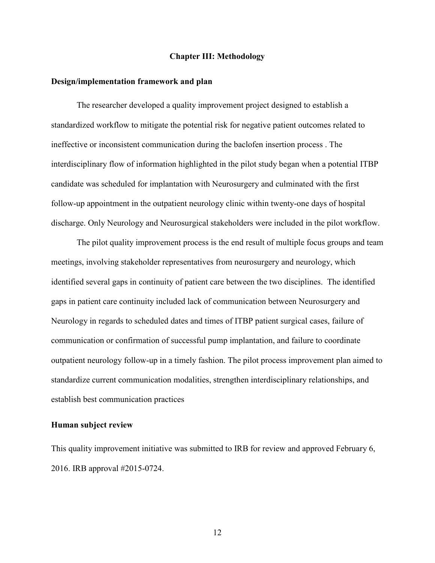# **Chapter III: Methodology**

#### **Design/implementation framework and plan**

The researcher developed a quality improvement project designed to establish a standardized workflow to mitigate the potential risk for negative patient outcomes related to ineffective or inconsistent communication during the baclofen insertion process . The interdisciplinary flow of information highlighted in the pilot study began when a potential ITBP candidate was scheduled for implantation with Neurosurgery and culminated with the first follow-up appointment in the outpatient neurology clinic within twenty-one days of hospital discharge. Only Neurology and Neurosurgical stakeholders were included in the pilot workflow.

The pilot quality improvement process is the end result of multiple focus groups and team meetings, involving stakeholder representatives from neurosurgery and neurology, which identified several gaps in continuity of patient care between the two disciplines. The identified gaps in patient care continuity included lack of communication between Neurosurgery and Neurology in regards to scheduled dates and times of ITBP patient surgical cases, failure of communication or confirmation of successful pump implantation, and failure to coordinate outpatient neurology follow-up in a timely fashion. The pilot process improvement plan aimed to standardize current communication modalities, strengthen interdisciplinary relationships, and establish best communication practices

#### **Human subject review**

This quality improvement initiative was submitted to IRB for review and approved February 6, 2016. IRB approval #2015-0724.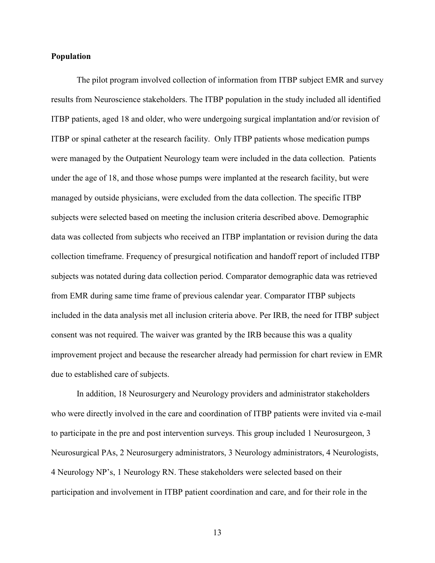# **Population**

The pilot program involved collection of information from ITBP subject EMR and survey results from Neuroscience stakeholders. The ITBP population in the study included all identified ITBP patients, aged 18 and older, who were undergoing surgical implantation and/or revision of ITBP or spinal catheter at the research facility. Only ITBP patients whose medication pumps were managed by the Outpatient Neurology team were included in the data collection. Patients under the age of 18, and those whose pumps were implanted at the research facility, but were managed by outside physicians, were excluded from the data collection. The specific ITBP subjects were selected based on meeting the inclusion criteria described above. Demographic data was collected from subjects who received an ITBP implantation or revision during the data collection timeframe. Frequency of presurgical notification and handoff report of included ITBP subjects was notated during data collection period. Comparator demographic data was retrieved from EMR during same time frame of previous calendar year. Comparator ITBP subjects included in the data analysis met all inclusion criteria above. Per IRB, the need for ITBP subject consent was not required. The waiver was granted by the IRB because this was a quality improvement project and because the researcher already had permission for chart review in EMR due to established care of subjects.

In addition, 18 Neurosurgery and Neurology providers and administrator stakeholders who were directly involved in the care and coordination of ITBP patients were invited via e-mail to participate in the pre and post intervention surveys. This group included 1 Neurosurgeon, 3 Neurosurgical PAs, 2 Neurosurgery administrators, 3 Neurology administrators, 4 Neurologists, 4 Neurology NP's, 1 Neurology RN. These stakeholders were selected based on their participation and involvement in ITBP patient coordination and care, and for their role in the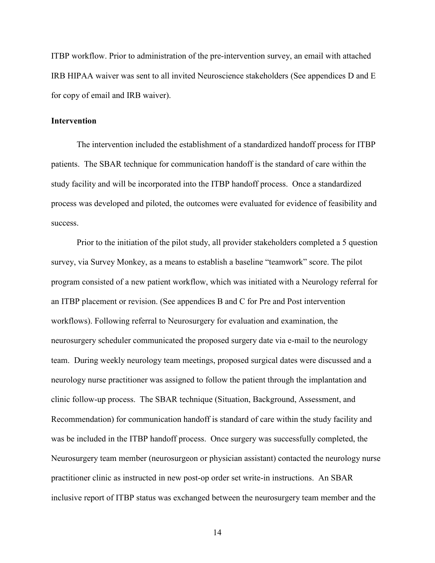ITBP workflow. Prior to administration of the pre-intervention survey, an email with attached IRB HIPAA waiver was sent to all invited Neuroscience stakeholders (See appendices D and E for copy of email and IRB waiver).

# **Intervention**

The intervention included the establishment of a standardized handoff process for ITBP patients. The SBAR technique for communication handoff is the standard of care within the study facility and will be incorporated into the ITBP handoff process. Once a standardized process was developed and piloted, the outcomes were evaluated for evidence of feasibility and success.

Prior to the initiation of the pilot study, all provider stakeholders completed a 5 question survey, via Survey Monkey, as a means to establish a baseline "teamwork" score. The pilot program consisted of a new patient workflow, which was initiated with a Neurology referral for an ITBP placement or revision. (See appendices B and C for Pre and Post intervention workflows). Following referral to Neurosurgery for evaluation and examination, the neurosurgery scheduler communicated the proposed surgery date via e-mail to the neurology team. During weekly neurology team meetings, proposed surgical dates were discussed and a neurology nurse practitioner was assigned to follow the patient through the implantation and clinic follow-up process. The SBAR technique (Situation, Background, Assessment, and Recommendation) for communication handoff is standard of care within the study facility and was be included in the ITBP handoff process. Once surgery was successfully completed, the Neurosurgery team member (neurosurgeon or physician assistant) contacted the neurology nurse practitioner clinic as instructed in new post-op order set write-in instructions. An SBAR inclusive report of ITBP status was exchanged between the neurosurgery team member and the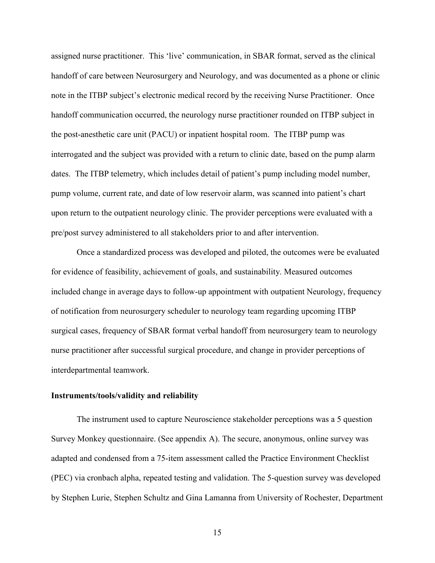assigned nurse practitioner. This 'live' communication, in SBAR format, served as the clinical handoff of care between Neurosurgery and Neurology, and was documented as a phone or clinic note in the ITBP subject's electronic medical record by the receiving Nurse Practitioner. Once handoff communication occurred, the neurology nurse practitioner rounded on ITBP subject in the post-anesthetic care unit (PACU) or inpatient hospital room. The ITBP pump was interrogated and the subject was provided with a return to clinic date, based on the pump alarm dates. The ITBP telemetry, which includes detail of patient's pump including model number, pump volume, current rate, and date of low reservoir alarm, was scanned into patient's chart upon return to the outpatient neurology clinic. The provider perceptions were evaluated with a pre/post survey administered to all stakeholders prior to and after intervention.

Once a standardized process was developed and piloted, the outcomes were be evaluated for evidence of feasibility, achievement of goals, and sustainability. Measured outcomes included change in average days to follow-up appointment with outpatient Neurology, frequency of notification from neurosurgery scheduler to neurology team regarding upcoming ITBP surgical cases, frequency of SBAR format verbal handoff from neurosurgery team to neurology nurse practitioner after successful surgical procedure, and change in provider perceptions of interdepartmental teamwork.

#### **Instruments/tools/validity and reliability**

 The instrument used to capture Neuroscience stakeholder perceptions was a 5 question Survey Monkey questionnaire. (See appendix A). The secure, anonymous, online survey was adapted and condensed from a 75-item assessment called the Practice Environment Checklist (PEC) via cronbach alpha, repeated testing and validation. The 5-question survey was developed by Stephen Lurie, Stephen Schultz and Gina Lamanna from University of Rochester, Department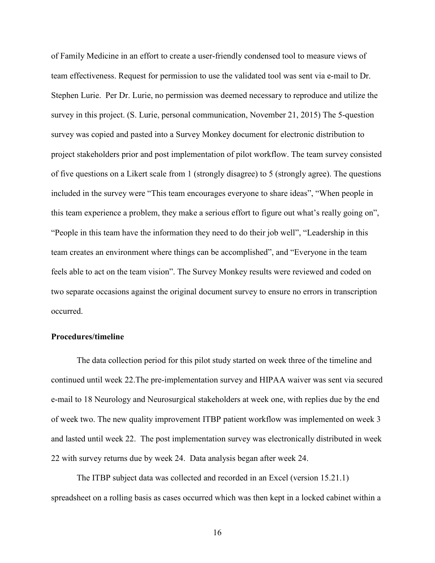of Family Medicine in an effort to create a user-friendly condensed tool to measure views of team effectiveness. Request for permission to use the validated tool was sent via e-mail to Dr. Stephen Lurie. Per Dr. Lurie, no permission was deemed necessary to reproduce and utilize the survey in this project. (S. Lurie, personal communication, November 21, 2015) The 5-question survey was copied and pasted into a Survey Monkey document for electronic distribution to project stakeholders prior and post implementation of pilot workflow. The team survey consisted of five questions on a Likert scale from 1 (strongly disagree) to 5 (strongly agree). The questions included in the survey were "This team encourages everyone to share ideas", "When people in this team experience a problem, they make a serious effort to figure out what's really going on", "People in this team have the information they need to do their job well", "Leadership in this team creates an environment where things can be accomplished", and "Everyone in the team feels able to act on the team vision". The Survey Monkey results were reviewed and coded on two separate occasions against the original document survey to ensure no errors in transcription occurred.

# **Procedures/timeline**

The data collection period for this pilot study started on week three of the timeline and continued until week 22.The pre-implementation survey and HIPAA waiver was sent via secured e-mail to 18 Neurology and Neurosurgical stakeholders at week one, with replies due by the end of week two. The new quality improvement ITBP patient workflow was implemented on week 3 and lasted until week 22. The post implementation survey was electronically distributed in week 22 with survey returns due by week 24. Data analysis began after week 24.

The ITBP subject data was collected and recorded in an Excel (version 15.21.1) spreadsheet on a rolling basis as cases occurred which was then kept in a locked cabinet within a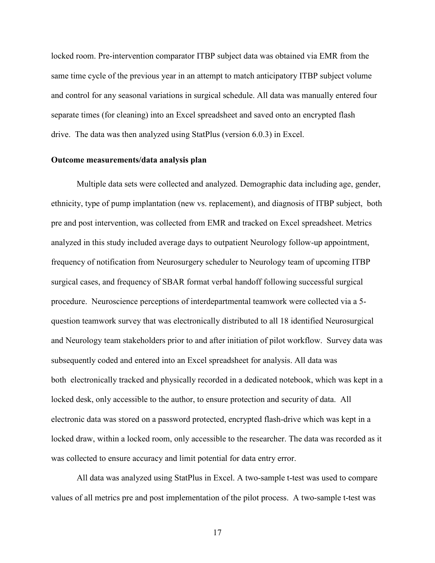locked room. Pre-intervention comparator ITBP subject data was obtained via EMR from the same time cycle of the previous year in an attempt to match anticipatory ITBP subject volume and control for any seasonal variations in surgical schedule. All data was manually entered four separate times (for cleaning) into an Excel spreadsheet and saved onto an encrypted flash drive. The data was then analyzed using StatPlus (version 6.0.3) in Excel.

# **Outcome measurements/data analysis plan**

Multiple data sets were collected and analyzed. Demographic data including age, gender, ethnicity, type of pump implantation (new vs. replacement), and diagnosis of ITBP subject, both pre and post intervention, was collected from EMR and tracked on Excel spreadsheet. Metrics analyzed in this study included average days to outpatient Neurology follow-up appointment, frequency of notification from Neurosurgery scheduler to Neurology team of upcoming ITBP surgical cases, and frequency of SBAR format verbal handoff following successful surgical procedure. Neuroscience perceptions of interdepartmental teamwork were collected via a 5 question teamwork survey that was electronically distributed to all 18 identified Neurosurgical and Neurology team stakeholders prior to and after initiation of pilot workflow. Survey data was subsequently coded and entered into an Excel spreadsheet for analysis. All data was both electronically tracked and physically recorded in a dedicated notebook, which was kept in a locked desk, only accessible to the author, to ensure protection and security of data. All electronic data was stored on a password protected, encrypted flash-drive which was kept in a locked draw, within a locked room, only accessible to the researcher. The data was recorded as it was collected to ensure accuracy and limit potential for data entry error.

All data was analyzed using StatPlus in Excel. A two-sample t-test was used to compare values of all metrics pre and post implementation of the pilot process. A two-sample t-test was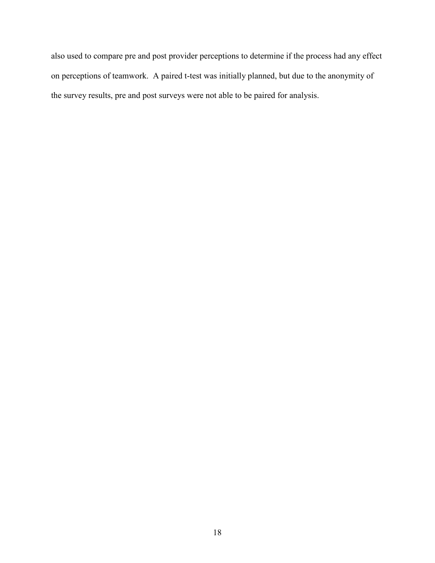also used to compare pre and post provider perceptions to determine if the process had any effect on perceptions of teamwork. A paired t-test was initially planned, but due to the anonymity of the survey results, pre and post surveys were not able to be paired for analysis.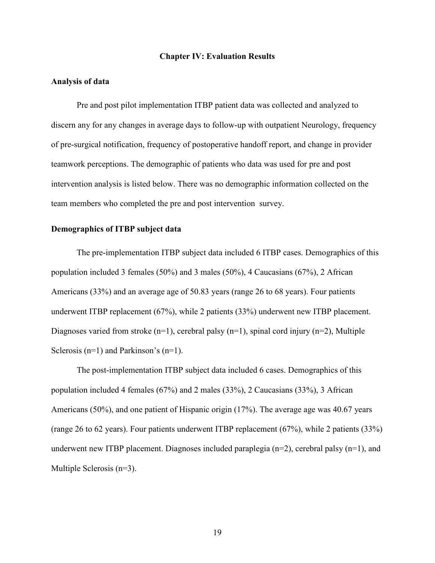## **Chapter IV: Evaluation Results**

# **Analysis of data**

Pre and post pilot implementation ITBP patient data was collected and analyzed to discern any for any changes in average days to follow-up with outpatient Neurology, frequency of pre-surgical notification, frequency of postoperative handoff report, and change in provider teamwork perceptions. The demographic of patients who data was used for pre and post intervention analysis is listed below. There was no demographic information collected on the team members who completed the pre and post intervention survey.

## **Demographics of ITBP subject data**

The pre-implementation ITBP subject data included 6 ITBP cases. Demographics of this population included 3 females (50%) and 3 males (50%), 4 Caucasians (67%), 2 African Americans (33%) and an average age of 50.83 years (range 26 to 68 years). Four patients underwent ITBP replacement (67%), while 2 patients (33%) underwent new ITBP placement. Diagnoses varied from stroke  $(n=1)$ , cerebral palsy  $(n=1)$ , spinal cord injury  $(n=2)$ , Multiple Sclerosis  $(n=1)$  and Parkinson's  $(n=1)$ .

The post-implementation ITBP subject data included 6 cases. Demographics of this population included 4 females (67%) and 2 males (33%), 2 Caucasians (33%), 3 African Americans (50%), and one patient of Hispanic origin (17%). The average age was 40.67 years (range 26 to 62 years). Four patients underwent ITBP replacement (67%), while 2 patients (33%) underwent new ITBP placement. Diagnoses included paraplegia  $(n=2)$ , cerebral palsy  $(n=1)$ , and Multiple Sclerosis (n=3).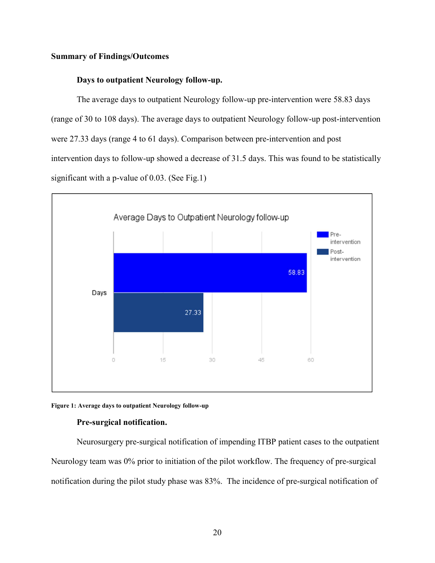# **Summary of Findings/Outcomes**

# **Days to outpatient Neurology follow-up.**

The average days to outpatient Neurology follow-up pre-intervention were 58.83 days (range of 30 to 108 days). The average days to outpatient Neurology follow-up post-intervention were 27.33 days (range 4 to 61 days). Comparison between pre-intervention and post intervention days to follow-up showed a decrease of 31.5 days. This was found to be statistically significant with a p-value of 0.03. (See Fig.1)



#### **Figure 1: Average days to outpatient Neurology follow-up**

# **Pre-surgical notification.**

Neurosurgery pre-surgical notification of impending ITBP patient cases to the outpatient Neurology team was 0% prior to initiation of the pilot workflow. The frequency of pre-surgical notification during the pilot study phase was 83%. The incidence of pre-surgical notification of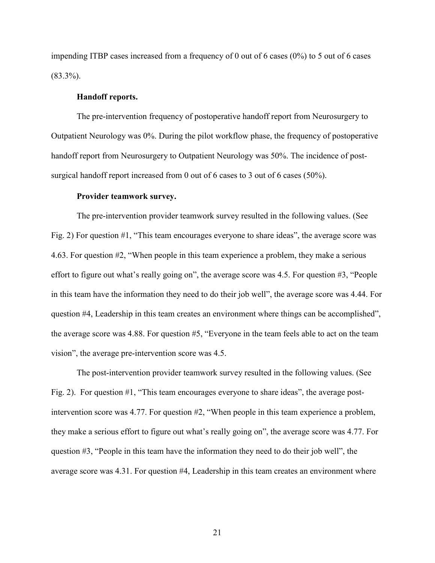impending ITBP cases increased from a frequency of 0 out of 6 cases  $(0\%)$  to 5 out of 6 cases  $(83.3\%)$ .

# **Handoff reports.**

The pre-intervention frequency of postoperative handoff report from Neurosurgery to Outpatient Neurology was 0%. During the pilot workflow phase, the frequency of postoperative handoff report from Neurosurgery to Outpatient Neurology was 50%. The incidence of postsurgical handoff report increased from 0 out of 6 cases to 3 out of 6 cases (50%).

#### **Provider teamwork survey.**

The pre-intervention provider teamwork survey resulted in the following values. (See Fig. 2) For question #1, "This team encourages everyone to share ideas", the average score was 4.63. For question #2, "When people in this team experience a problem, they make a serious effort to figure out what's really going on", the average score was 4.5. For question #3, "People in this team have the information they need to do their job well", the average score was 4.44. For question #4, Leadership in this team creates an environment where things can be accomplished", the average score was 4.88. For question #5, "Everyone in the team feels able to act on the team vision", the average pre-intervention score was 4.5.

The post-intervention provider teamwork survey resulted in the following values. (See Fig. 2). For question #1, "This team encourages everyone to share ideas", the average postintervention score was 4.77. For question #2, "When people in this team experience a problem, they make a serious effort to figure out what's really going on", the average score was 4.77. For question #3, "People in this team have the information they need to do their job well", the average score was 4.31. For question #4, Leadership in this team creates an environment where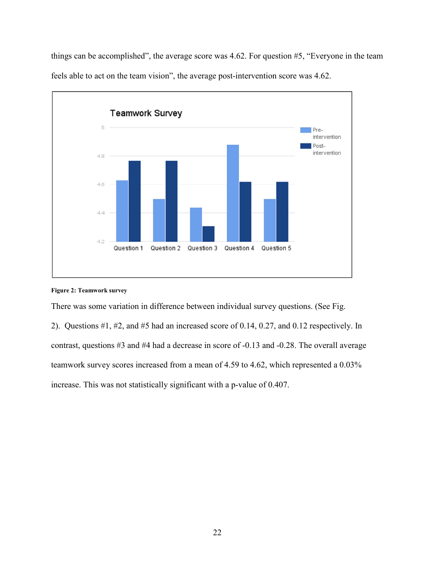things can be accomplished", the average score was 4.62. For question #5, "Everyone in the team feels able to act on the team vision", the average post-intervention score was 4.62.



# **Figure 2: Teamwork survey**

There was some variation in difference between individual survey questions. (See Fig.

2). Questions #1, #2, and #5 had an increased score of 0.14, 0.27, and 0.12 respectively. In contrast, questions #3 and #4 had a decrease in score of -0.13 and -0.28. The overall average teamwork survey scores increased from a mean of 4.59 to 4.62, which represented a 0.03% increase. This was not statistically significant with a p-value of 0.407.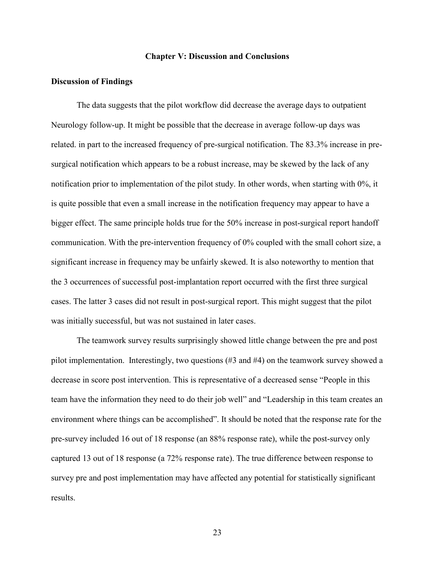# **Chapter V: Discussion and Conclusions**

## **Discussion of Findings**

The data suggests that the pilot workflow did decrease the average days to outpatient Neurology follow-up. It might be possible that the decrease in average follow-up days was related. in part to the increased frequency of pre-surgical notification. The 83.3% increase in presurgical notification which appears to be a robust increase, may be skewed by the lack of any notification prior to implementation of the pilot study. In other words, when starting with 0%, it is quite possible that even a small increase in the notification frequency may appear to have a bigger effect. The same principle holds true for the 50% increase in post-surgical report handoff communication. With the pre-intervention frequency of 0% coupled with the small cohort size, a significant increase in frequency may be unfairly skewed. It is also noteworthy to mention that the 3 occurrences of successful post-implantation report occurred with the first three surgical cases. The latter 3 cases did not result in post-surgical report. This might suggest that the pilot was initially successful, but was not sustained in later cases.

 The teamwork survey results surprisingly showed little change between the pre and post pilot implementation. Interestingly, two questions (#3 and #4) on the teamwork survey showed a decrease in score post intervention. This is representative of a decreased sense "People in this team have the information they need to do their job well" and "Leadership in this team creates an environment where things can be accomplished". It should be noted that the response rate for the pre-survey included 16 out of 18 response (an 88% response rate), while the post-survey only captured 13 out of 18 response (a 72% response rate). The true difference between response to survey pre and post implementation may have affected any potential for statistically significant results.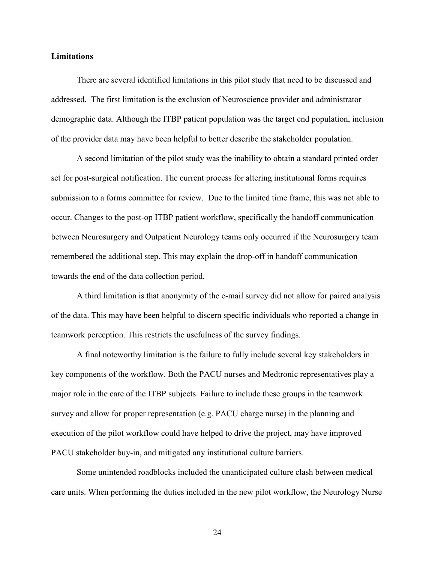# **Limitations**

There are several identified limitations in this pilot study that need to be discussed and addressed. The first limitation is the exclusion of Neuroscience provider and administrator demographic data. Although the ITBP patient population was the target end population, inclusion of the provider data may have been helpful to better describe the stakeholder population.

A second limitation of the pilot study was the inability to obtain a standard printed order set for post-surgical notification. The current process for altering institutional forms requires submission to a forms committee for review. Due to the limited time frame, this was not able to occur. Changes to the post-op ITBP patient workflow, specifically the handoff communication between Neurosurgery and Outpatient Neurology teams only occurred if the Neurosurgery team remembered the additional step. This may explain the drop-off in handoff communication towards the end of the data collection period.

A third limitation is that anonymity of the e-mail survey did not allow for paired analysis of the data. This may have been helpful to discern specific individuals who reported a change in teamwork perception. This restricts the usefulness of the survey findings.

A final noteworthy limitation is the failure to fully include several key stakeholders in key components of the workflow. Both the PACU nurses and Medtronic representatives play a major role in the care of the ITBP subjects. Failure to include these groups in the teamwork survey and allow for proper representation (e.g. PACU charge nurse) in the planning and execution of the pilot workflow could have helped to drive the project, may have improved PACU stakeholder buy-in, and mitigated any institutional culture barriers.

Some unintended roadblocks included the unanticipated culture clash between medical care units. When performing the duties included in the new pilot workflow, the Neurology Nurse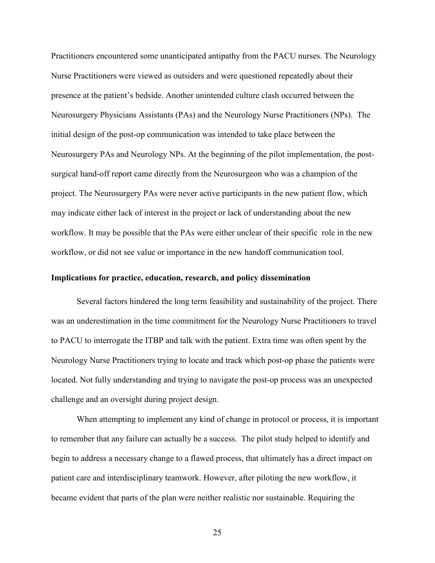Practitioners encountered some unanticipated antipathy from the PACU nurses. The Neurology Nurse Practitioners were viewed as outsiders and were questioned repeatedly about their presence at the patient's bedside. Another unintended culture clash occurred between the Neurosurgery Physicians Assistants (PAs) and the Neurology Nurse Practitioners (NPs). The initial design of the post-op communication was intended to take place between the Neurosurgery PAs and Neurology NPs. At the beginning of the pilot implementation, the postsurgical hand-off report came directly from the Neurosurgeon who was a champion of the project. The Neurosurgery PAs were never active participants in the new patient flow, which may indicate either lack of interest in the project or lack of understanding about the new workflow. It may be possible that the PAs were either unclear of their specific role in the new workflow, or did not see value or importance in the new handoff communication tool.

# **Implications for practice, education, research, and policy dissemination**

Several factors hindered the long term feasibility and sustainability of the project. There was an underestimation in the time commitment for the Neurology Nurse Practitioners to travel to PACU to interrogate the ITBP and talk with the patient. Extra time was often spent by the Neurology Nurse Practitioners trying to locate and track which post-op phase the patients were located. Not fully understanding and trying to navigate the post-op process was an unexpected challenge and an oversight during project design.

When attempting to implement any kind of change in protocol or process, it is important to remember that any failure can actually be a success. The pilot study helped to identify and begin to address a necessary change to a flawed process, that ultimately has a direct impact on patient care and interdisciplinary teamwork. However, after piloting the new workflow, it became evident that parts of the plan were neither realistic nor sustainable. Requiring the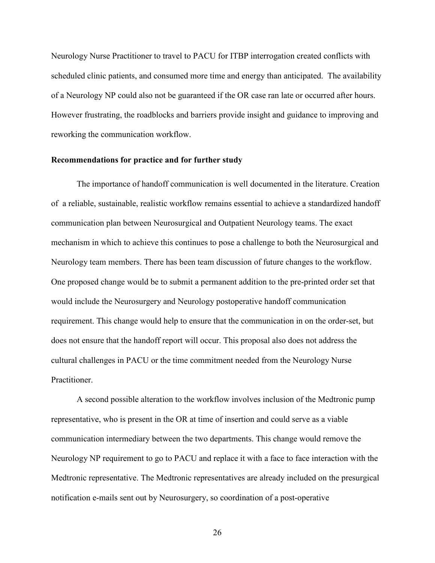Neurology Nurse Practitioner to travel to PACU for ITBP interrogation created conflicts with scheduled clinic patients, and consumed more time and energy than anticipated. The availability of a Neurology NP could also not be guaranteed if the OR case ran late or occurred after hours. However frustrating, the roadblocks and barriers provide insight and guidance to improving and reworking the communication workflow.

## **Recommendations for practice and for further study**

The importance of handoff communication is well documented in the literature. Creation of a reliable, sustainable, realistic workflow remains essential to achieve a standardized handoff communication plan between Neurosurgical and Outpatient Neurology teams. The exact mechanism in which to achieve this continues to pose a challenge to both the Neurosurgical and Neurology team members. There has been team discussion of future changes to the workflow. One proposed change would be to submit a permanent addition to the pre-printed order set that would include the Neurosurgery and Neurology postoperative handoff communication requirement. This change would help to ensure that the communication in on the order-set, but does not ensure that the handoff report will occur. This proposal also does not address the cultural challenges in PACU or the time commitment needed from the Neurology Nurse Practitioner.

A second possible alteration to the workflow involves inclusion of the Medtronic pump representative, who is present in the OR at time of insertion and could serve as a viable communication intermediary between the two departments. This change would remove the Neurology NP requirement to go to PACU and replace it with a face to face interaction with the Medtronic representative. The Medtronic representatives are already included on the presurgical notification e-mails sent out by Neurosurgery, so coordination of a post-operative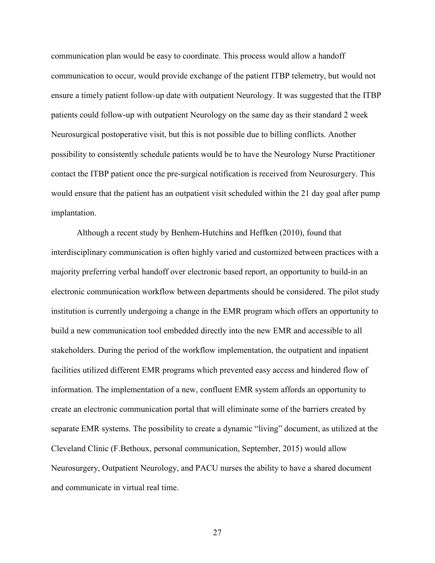communication plan would be easy to coordinate. This process would allow a handoff communication to occur, would provide exchange of the patient ITBP telemetry, but would not ensure a timely patient follow-up date with outpatient Neurology. It was suggested that the ITBP patients could follow-up with outpatient Neurology on the same day as their standard 2 week Neurosurgical postoperative visit, but this is not possible due to billing conflicts. Another possibility to consistently schedule patients would be to have the Neurology Nurse Practitioner contact the ITBP patient once the pre-surgical notification is received from Neurosurgery. This would ensure that the patient has an outpatient visit scheduled within the 21 day goal after pump implantation.

Although a recent study by Benhem-Hutchins and Heffken (2010), found that interdisciplinary communication is often highly varied and customized between practices with a majority preferring verbal handoff over electronic based report, an opportunity to build-in an electronic communication workflow between departments should be considered. The pilot study institution is currently undergoing a change in the EMR program which offers an opportunity to build a new communication tool embedded directly into the new EMR and accessible to all stakeholders. During the period of the workflow implementation, the outpatient and inpatient facilities utilized different EMR programs which prevented easy access and hindered flow of information. The implementation of a new, confluent EMR system affords an opportunity to create an electronic communication portal that will eliminate some of the barriers created by separate EMR systems. The possibility to create a dynamic "living" document, as utilized at the Cleveland Clinic (F.Bethoux, personal communication, September, 2015) would allow Neurosurgery, Outpatient Neurology, and PACU nurses the ability to have a shared document and communicate in virtual real time.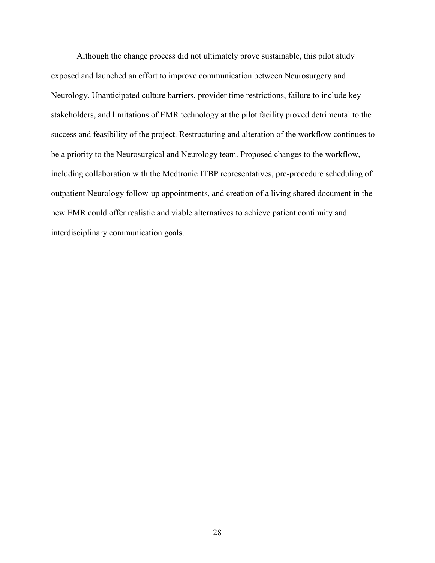Although the change process did not ultimately prove sustainable, this pilot study exposed and launched an effort to improve communication between Neurosurgery and Neurology. Unanticipated culture barriers, provider time restrictions, failure to include key stakeholders, and limitations of EMR technology at the pilot facility proved detrimental to the success and feasibility of the project. Restructuring and alteration of the workflow continues to be a priority to the Neurosurgical and Neurology team. Proposed changes to the workflow, including collaboration with the Medtronic ITBP representatives, pre-procedure scheduling of outpatient Neurology follow-up appointments, and creation of a living shared document in the new EMR could offer realistic and viable alternatives to achieve patient continuity and interdisciplinary communication goals.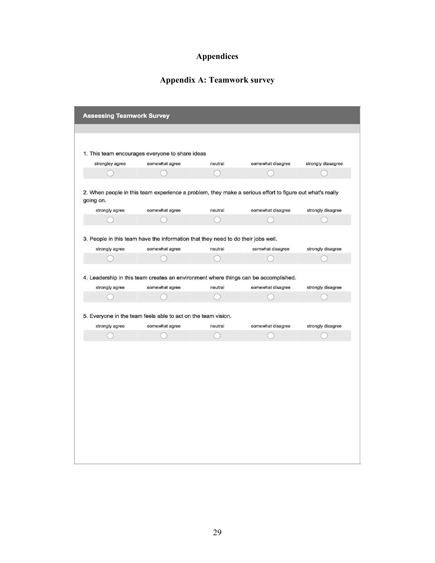# **Appendices**

# **Appendix A: Teamwork survey**

| 1. This team encourages everyone to share ideas<br>strongley agree<br>somewhat agree<br>2. When people in this team experience a problem, they make a serious effort to figure out what's really<br>going on. | neutral | somewhat disagree | strongly diasagree |
|---------------------------------------------------------------------------------------------------------------------------------------------------------------------------------------------------------------|---------|-------------------|--------------------|
|                                                                                                                                                                                                               |         |                   |                    |
|                                                                                                                                                                                                               |         |                   |                    |
|                                                                                                                                                                                                               |         |                   |                    |
|                                                                                                                                                                                                               |         |                   |                    |
|                                                                                                                                                                                                               |         |                   |                    |
|                                                                                                                                                                                                               |         |                   |                    |
|                                                                                                                                                                                                               |         |                   |                    |
| strongly agree<br>somewhat agree                                                                                                                                                                              | neutral | somewhat disagree | strongly disagree  |
|                                                                                                                                                                                                               |         |                   |                    |
|                                                                                                                                                                                                               |         |                   |                    |
| 3. People in this team have the information that they need to do their jobs well.                                                                                                                             |         |                   |                    |
| strongly agree<br>somewhat agree                                                                                                                                                                              | neutral | somwhat disagree  | strongly disagree  |
|                                                                                                                                                                                                               |         |                   |                    |
|                                                                                                                                                                                                               |         |                   |                    |
| 5. Everyone in the team feels able to act on the team vision.                                                                                                                                                 |         |                   |                    |
| strongly agree<br>somewhat agree                                                                                                                                                                              | neutral | somewhat disagree | strongly disagree  |
|                                                                                                                                                                                                               |         |                   |                    |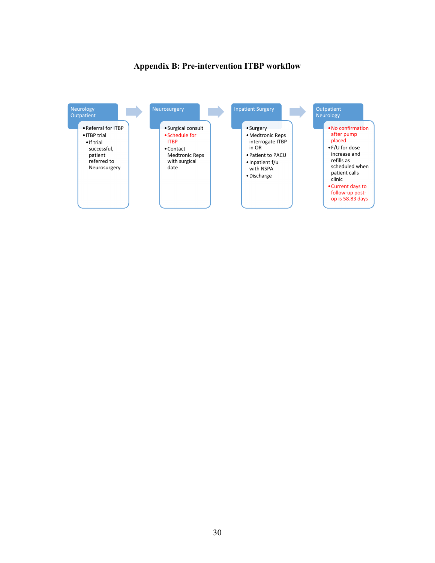# **Appendix B: Pre-intervention ITBP workflow**

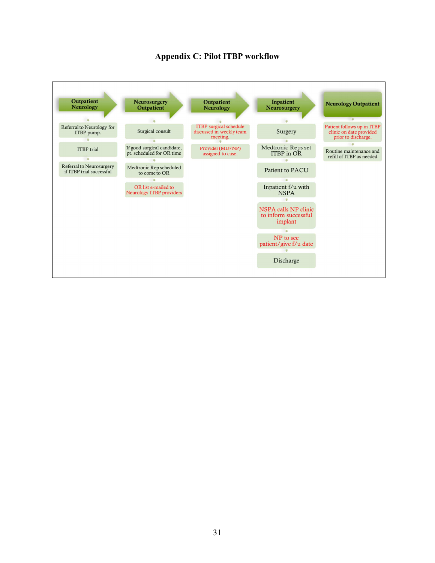

# **Appendix C: Pilot ITBP workflow**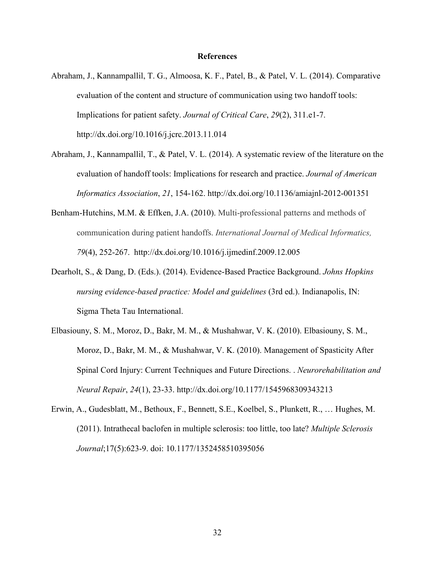#### **References**

- Abraham, J., Kannampallil, T. G., Almoosa, K. F., Patel, B., & Patel, V. L. (2014). Comparative evaluation of the content and structure of communication using two handoff tools: Implications for patient safety. *Journal of Critical Care*, *29*(2), 311.e1-7. http://dx.doi.org/10.1016/j.jcrc.2013.11.014
- Abraham, J., Kannampallil, T., & Patel, V. L. (2014). A systematic review of the literature on the evaluation of handoff tools: Implications for research and practice. *Journal of American Informatics Association*, *21*, 154-162. http://dx.doi.org/10.1136/amiajnl-2012-001351
- Benham-Hutchins, M.M. & Effken, J.A. (2010). Multi-professional patterns and methods of communication during patient handoffs. *International Journal of Medical Informatics, 79*(4), 252-267. http://dx.doi.org/10.1016/j.ijmedinf.2009.12.005
- Dearholt, S., & Dang, D. (Eds.). (2014). Evidence-Based Practice Background. *Johns Hopkins nursing evidence-based practice: Model and guidelines* (3rd ed.). Indianapolis, IN: Sigma Theta Tau International.
- Elbasiouny, S. M., Moroz, D., Bakr, M. M., & Mushahwar, V. K. (2010). Elbasiouny, S. M., Moroz, D., Bakr, M. M., & Mushahwar, V. K. (2010). Management of Spasticity After Spinal Cord Injury: Current Techniques and Future Directions. . *Neurorehabilitation and Neural Repair*, *24*(1), 23-33. http://dx.doi.org/10.1177/1545968309343213
- Erwin, A., Gudesblatt, M., Bethoux, F., Bennett, S.E., Koelbel, S., Plunkett, R., … Hughes, M. (2011). Intrathecal baclofen in multiple sclerosis: too little, too late? *Multiple Sclerosis Journal*;17(5):623-9. doi: 10.1177/1352458510395056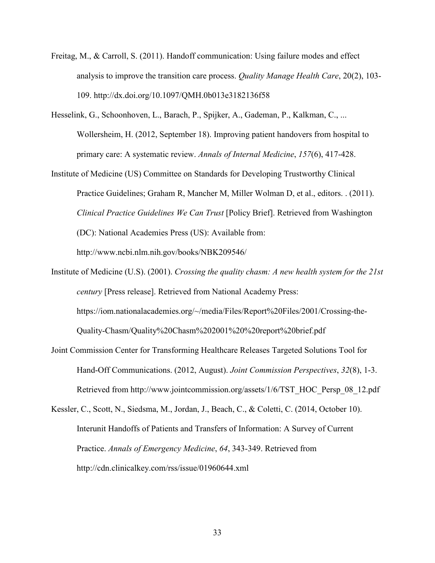- Freitag, M., & Carroll, S. (2011). Handoff communication: Using failure modes and effect analysis to improve the transition care process. *Quality Manage Health Care*, 20(2), 103- 109. http://dx.doi.org/10.1097/QMH.0b013e3182136f58
- Hesselink, G., Schoonhoven, L., Barach, P., Spijker, A., Gademan, P., Kalkman, C., ... Wollersheim, H. (2012, September 18). Improving patient handovers from hospital to primary care: A systematic review. *Annals of Internal Medicine*, *157*(6), 417-428.
- Institute of Medicine (US) Committee on Standards for Developing Trustworthy Clinical Practice Guidelines; Graham R, Mancher M, Miller Wolman D, et al., editors. . (2011). *Clinical Practice Guidelines We Can Trust* [Policy Brief]. Retrieved from Washington (DC): National Academies Press (US): Available from: http://www.ncbi.nlm.nih.gov/books/NBK209546/
- Institute of Medicine (U.S). (2001). *Crossing the quality chasm: A new health system for the 21st century* [Press release]. Retrieved from National Academy Press: https://iom.nationalacademies.org/~/media/Files/Report%20Files/2001/Crossing-the-Quality-Chasm/Quality%20Chasm%202001%20%20report%20brief.pdf
- Joint Commission Center for Transforming Healthcare Releases Targeted Solutions Tool for Hand-Off Communications. (2012, August). *Joint Commission Perspectives*, *32*(8), 1-3. Retrieved from http://www.jointcommission.org/assets/1/6/TST\_HOC\_Persp\_08\_12.pdf
- Kessler, C., Scott, N., Siedsma, M., Jordan, J., Beach, C., & Coletti, C. (2014, October 10). Interunit Handoffs of Patients and Transfers of Information: A Survey of Current Practice. *Annals of Emergency Medicine*, *64*, 343-349. Retrieved from http://cdn.clinicalkey.com/rss/issue/01960644.xml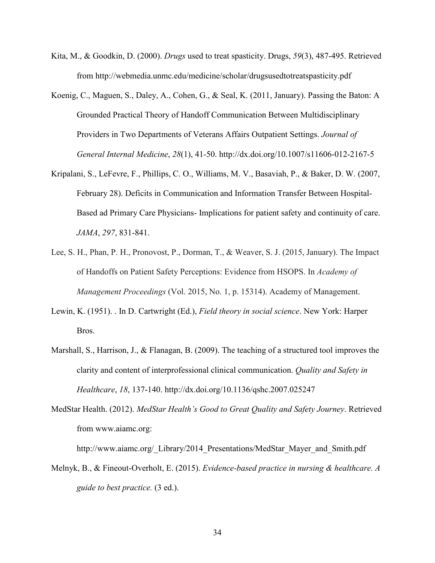- Kita, M., & Goodkin, D. (2000). *Drugs* used to treat spasticity. Drugs, *59*(3), 487-495. Retrieved from http://webmedia.unmc.edu/medicine/scholar/drugsusedtotreatspasticity.pdf
- Koenig, C., Maguen, S., Daley, A., Cohen, G., & Seal, K. (2011, January). Passing the Baton: A Grounded Practical Theory of Handoff Communication Between Multidisciplinary Providers in Two Departments of Veterans Affairs Outpatient Settings. *Journal of General Internal Medicine*, *28*(1), 41-50. http://dx.doi.org/10.1007/s11606-012-2167-5
- Kripalani, S., LeFevre, F., Phillips, C. O., Williams, M. V., Basaviah, P., & Baker, D. W. (2007, February 28). Deficits in Communication and Information Transfer Between Hospital-Based ad Primary Care Physicians- Implications for patient safety and continuity of care. *JAMA*, *297*, 831-841.
- Lee, S. H., Phan, P. H., Pronovost, P., Dorman, T., & Weaver, S. J. (2015, January). The Impact of Handoffs on Patient Safety Perceptions: Evidence from HSOPS. In *Academy of Management Proceedings* (Vol. 2015, No. 1, p. 15314). Academy of Management.
- Lewin, K. (1951). . In D. Cartwright (Ed.), *Field theory in social science*. New York: Harper Bros.
- Marshall, S., Harrison, J., & Flanagan, B. (2009). The teaching of a structured tool improves the clarity and content of interprofessional clinical communication. *Quality and Safety in Healthcare*, *18*, 137-140. http://dx.doi.org/10.1136/qshc.2007.025247
- MedStar Health. (2012). *MedStar Health's Good to Great Quality and Safety Journey*. Retrieved from www.aiamc.org:

http://www.aiamc.org/\_Library/2014\_Presentations/MedStar\_Mayer\_and\_Smith.pdf

Melnyk, B., & Fineout-Overholt, E. (2015). *Evidence-based practice in nursing & healthcare. A guide to best practice.* (3 ed.).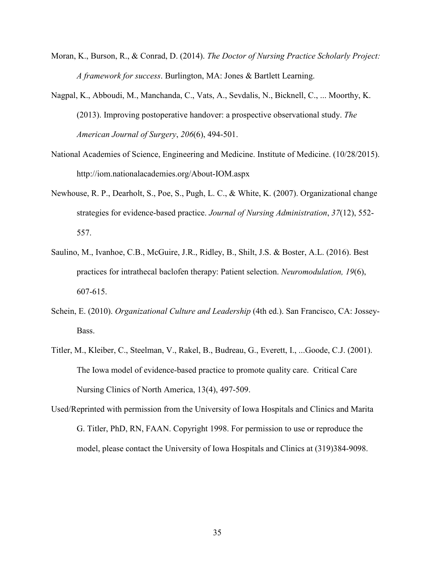- Moran, K., Burson, R., & Conrad, D. (2014). *The Doctor of Nursing Practice Scholarly Project: A framework for success*. Burlington, MA: Jones & Bartlett Learning.
- Nagpal, K., Abboudi, M., Manchanda, C., Vats, A., Sevdalis, N., Bicknell, C., ... Moorthy, K. (2013). Improving postoperative handover: a prospective observational study. *The American Journal of Surgery*, *206*(6), 494-501.
- National Academies of Science, Engineering and Medicine. Institute of Medicine. (10/28/2015). http://iom.nationalacademies.org/About-IOM.aspx
- Newhouse, R. P., Dearholt, S., Poe, S., Pugh, L. C., & White, K. (2007). Organizational change strategies for evidence-based practice. *Journal of Nursing Administration*, *37*(12), 552- 557.
- Saulino, M., Ivanhoe, C.B., McGuire, J.R., Ridley, B., Shilt, J.S. & Boster, A.L. (2016). Best practices for intrathecal baclofen therapy: Patient selection. *Neuromodulation, 19*(6), 607-615.
- Schein, E. (2010). *Organizational Culture and Leadership* (4th ed.). San Francisco, CA: Jossey-Bass.
- Titler, M., Kleiber, C., Steelman, V., Rakel, B., Budreau, G., Everett, I., ...Goode, C.J. (2001). The Iowa model of evidence-based practice to promote quality care. Critical Care Nursing Clinics of North America, 13(4), 497-509.
- Used/Reprinted with permission from the University of Iowa Hospitals and Clinics and Marita G. Titler, PhD, RN, FAAN. Copyright 1998. For permission to use or reproduce the model, please contact the University of Iowa Hospitals and Clinics at (319)384-9098.